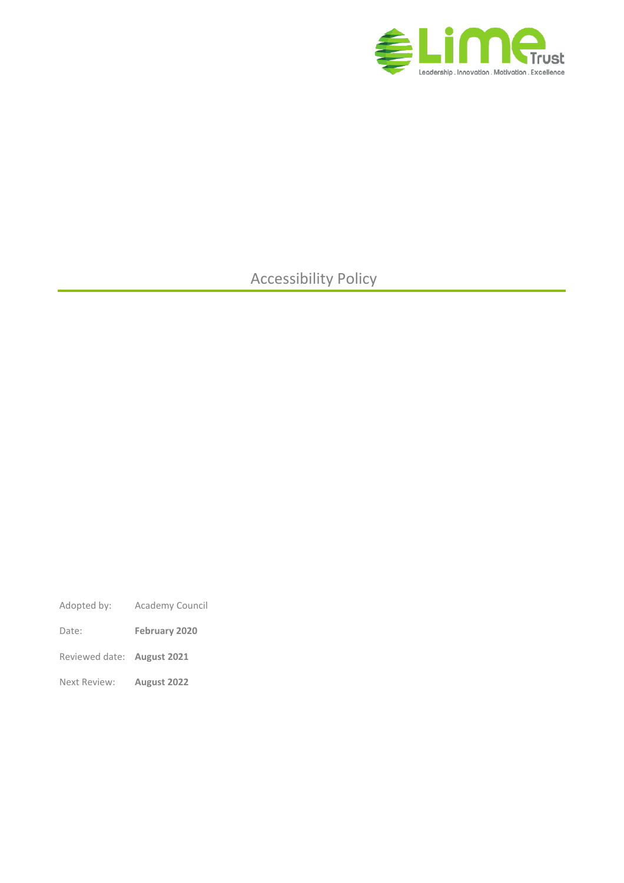

# Accessibility Policy

- Adopted by: Academy Council
- Date: **February 2020**
- Reviewed date: **August 2021**
- Next Review: **August 2022**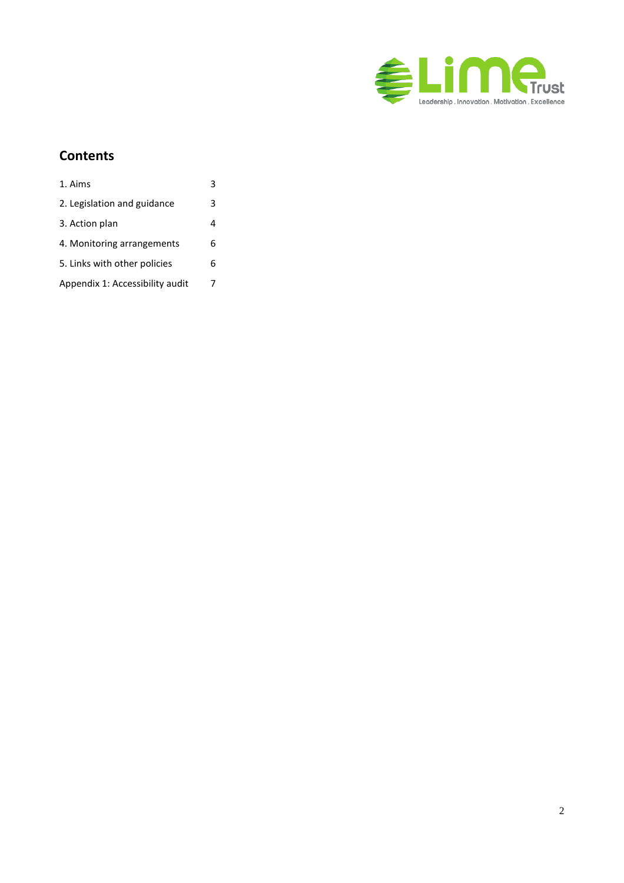

### **Contents**

| 1. Aims                         |   |
|---------------------------------|---|
| 2. Legislation and guidance     | 3 |
| 3. Action plan                  | 4 |
| 4. Monitoring arrangements      | 6 |
| 5. Links with other policies    | 6 |
| Appendix 1: Accessibility audit | 7 |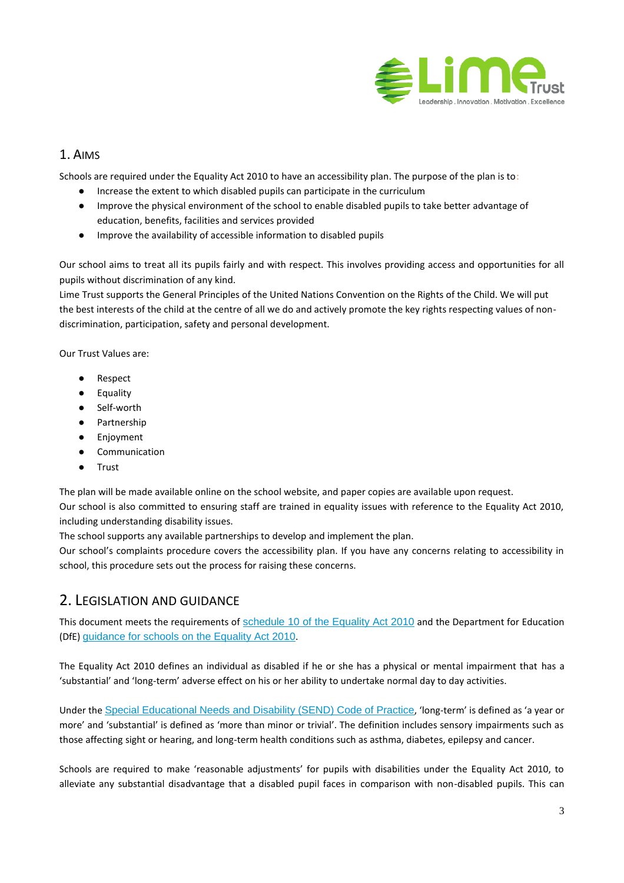

#### <span id="page-2-0"></span>1. AIMS

Schools are required under the Equality Act 2010 to have an accessibility plan. The purpose of the plan is to:

- Increase the extent to which disabled pupils can participate in the curriculum
- Improve the physical environment of the school to enable disabled pupils to take better advantage of education, benefits, facilities and services provided
- Improve the availability of accessible information to disabled pupils

Our school aims to treat all its pupils fairly and with respect. This involves providing access and opportunities for all pupils without discrimination of any kind.

Lime Trust supports the General Principles of the United Nations Convention on the Rights of the Child. We will put the best interests of the child at the centre of all we do and actively promote the key rights respecting values of nondiscrimination, participation, safety and personal development.

Our Trust Values are:

- Respect
- Equality
- Self-worth
- Partnership
- Enjoyment
- Communication
- Trust

The plan will be made available online on the school website, and paper copies are available upon request.

Our school is also committed to ensuring staff are trained in equality issues with reference to the Equality Act 2010, including understanding disability issues.

The school supports any available partnerships to develop and implement the plan.

Our school's complaints procedure covers the accessibility plan. If you have any concerns relating to accessibility in school, this procedure sets out the process for raising these concerns.

### <span id="page-2-1"></span>2. LEGISLATION AND GUIDANCE

This document meets the requirements of [schedule 10 of the Equality Act 2010](http://www.legislation.gov.uk/ukpga/2010/15/schedule/10) and the Department for Education (DfE) [guidance for schools on the Equality Act 2010](https://www.gov.uk/government/publications/equality-act-2010-advice-for-schools).

The Equality Act 2010 defines an individual as disabled if he or she has a physical or mental impairment that has a 'substantial' and 'long-term' adverse effect on his or her ability to undertake normal day to day activities.

Under the [Special Educational Needs and Disability \(SEND\) Code of Practice](https://www.gov.uk/government/publications/send-code-of-practice-0-to-25), 'long-term' is defined as 'a year or more' and 'substantial' is defined as 'more than minor or trivial'. The definition includes sensory impairments such as those affecting sight or hearing, and long-term health conditions such as asthma, diabetes, epilepsy and cancer.

Schools are required to make 'reasonable adjustments' for pupils with disabilities under the Equality Act 2010, to alleviate any substantial disadvantage that a disabled pupil faces in comparison with non-disabled pupils. This can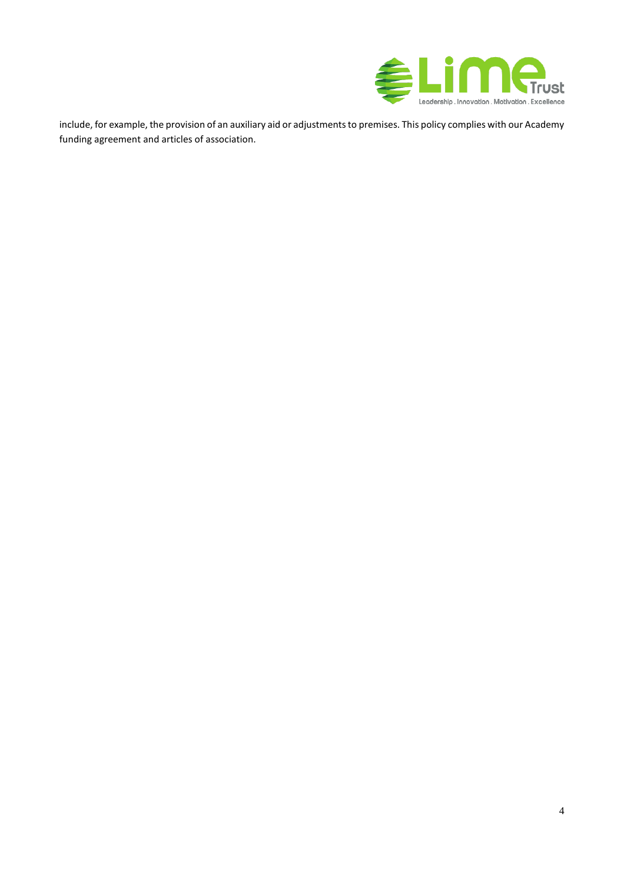

include, for example, the provision of an auxiliary aid or adjustments to premises. This policy complies with our Academy funding agreement and articles of association.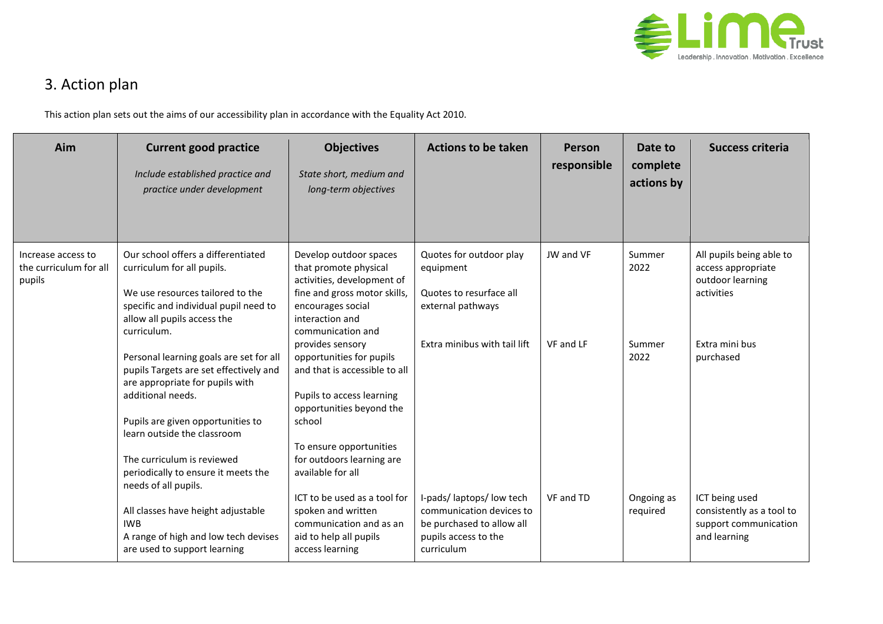

## 3. Action plan

This action plan sets out the aims of our accessibility plan in accordance with the Equality Act 2010.

<span id="page-4-0"></span>

| Aim                                                    | <b>Current good practice</b><br>Include established practice and<br>practice under development                                                                                                                                                                                                             | <b>Objectives</b><br>State short, medium and<br>long-term objectives                                                                                                                                                          | <b>Actions to be taken</b>                                                                                             | <b>Person</b><br>responsible | Date to<br>complete<br>actions by | <b>Success criteria</b>                                                              |
|--------------------------------------------------------|------------------------------------------------------------------------------------------------------------------------------------------------------------------------------------------------------------------------------------------------------------------------------------------------------------|-------------------------------------------------------------------------------------------------------------------------------------------------------------------------------------------------------------------------------|------------------------------------------------------------------------------------------------------------------------|------------------------------|-----------------------------------|--------------------------------------------------------------------------------------|
| Increase access to<br>the curriculum for all<br>pupils | Our school offers a differentiated<br>curriculum for all pupils.<br>We use resources tailored to the<br>specific and individual pupil need to<br>allow all pupils access the<br>curriculum.                                                                                                                | Develop outdoor spaces<br>that promote physical<br>activities, development of<br>fine and gross motor skills,<br>encourages social<br>interaction and<br>communication and                                                    | Quotes for outdoor play<br>equipment<br>Quotes to resurface all<br>external pathways                                   | JW and VF                    | Summer<br>2022                    | All pupils being able to<br>access appropriate<br>outdoor learning<br>activities     |
|                                                        | Personal learning goals are set for all<br>pupils Targets are set effectively and<br>are appropriate for pupils with<br>additional needs.<br>Pupils are given opportunities to<br>learn outside the classroom<br>The curriculum is reviewed<br>periodically to ensure it meets the<br>needs of all pupils. | provides sensory<br>opportunities for pupils<br>and that is accessible to all<br>Pupils to access learning<br>opportunities beyond the<br>school<br>To ensure opportunities<br>for outdoors learning are<br>available for all | Extra minibus with tail lift                                                                                           | VF and LF                    | Summer<br>2022                    | Extra mini bus<br>purchased                                                          |
|                                                        | All classes have height adjustable<br><b>IWB</b><br>A range of high and low tech devises<br>are used to support learning                                                                                                                                                                                   | ICT to be used as a tool for<br>spoken and written<br>communication and as an<br>aid to help all pupils<br>access learning                                                                                                    | I-pads/laptops/low tech<br>communication devices to<br>be purchased to allow all<br>pupils access to the<br>curriculum | VF and TD                    | Ongoing as<br>required            | ICT being used<br>consistently as a tool to<br>support communication<br>and learning |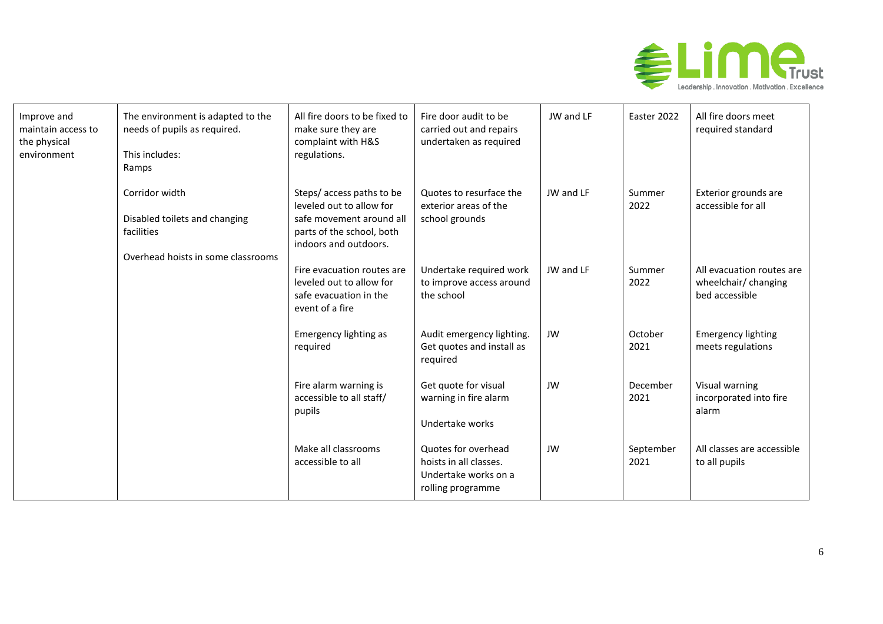

| Improve and<br>maintain access to<br>the physical<br>environment | The environment is adapted to the<br>needs of pupils as required.<br>This includes:<br>Ramps        | All fire doors to be fixed to<br>make sure they are<br>complaint with H&S<br>regulations.                                               | Fire door audit to be<br>carried out and repairs<br>undertaken as required                 | JW and LF | Easter 2022       | All fire doors meet<br>required standard                            |
|------------------------------------------------------------------|-----------------------------------------------------------------------------------------------------|-----------------------------------------------------------------------------------------------------------------------------------------|--------------------------------------------------------------------------------------------|-----------|-------------------|---------------------------------------------------------------------|
|                                                                  | Corridor width<br>Disabled toilets and changing<br>facilities<br>Overhead hoists in some classrooms | Steps/ access paths to be<br>leveled out to allow for<br>safe movement around all<br>parts of the school, both<br>indoors and outdoors. | Quotes to resurface the<br>exterior areas of the<br>school grounds                         | JW and LF | Summer<br>2022    | Exterior grounds are<br>accessible for all                          |
|                                                                  |                                                                                                     | Fire evacuation routes are<br>leveled out to allow for<br>safe evacuation in the<br>event of a fire                                     | Undertake required work<br>to improve access around<br>the school                          | JW and LF | Summer<br>2022    | All evacuation routes are<br>wheelchair/ changing<br>bed accessible |
|                                                                  |                                                                                                     | Emergency lighting as<br>required                                                                                                       | Audit emergency lighting.<br>Get quotes and install as<br>required                         | JW        | October<br>2021   | <b>Emergency lighting</b><br>meets regulations                      |
|                                                                  |                                                                                                     | Fire alarm warning is<br>accessible to all staff/<br>pupils                                                                             | Get quote for visual<br>warning in fire alarm<br>Undertake works                           | JW        | December<br>2021  | Visual warning<br>incorporated into fire<br>alarm                   |
|                                                                  |                                                                                                     | Make all classrooms<br>accessible to all                                                                                                | Quotes for overhead<br>hoists in all classes.<br>Undertake works on a<br>rolling programme | JW        | September<br>2021 | All classes are accessible<br>to all pupils                         |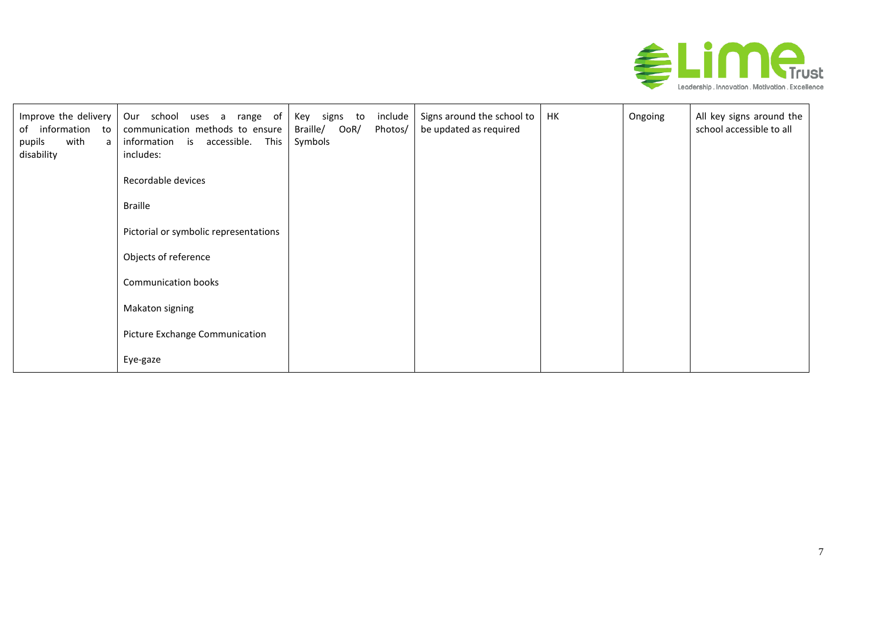

| Improve the delivery<br>information to<br>of<br>with<br>pupils<br>a<br>disability | Our school uses a range of<br>communication methods to ensure<br>information is accessible.<br>This<br>includes: | Key signs to<br>include<br>Braille/<br>OoR/<br>Photos/<br>Symbols | Signs around the school to<br>be updated as required | НK | Ongoing | All key signs around the<br>school accessible to all |
|-----------------------------------------------------------------------------------|------------------------------------------------------------------------------------------------------------------|-------------------------------------------------------------------|------------------------------------------------------|----|---------|------------------------------------------------------|
|                                                                                   | Recordable devices                                                                                               |                                                                   |                                                      |    |         |                                                      |
|                                                                                   | <b>Braille</b>                                                                                                   |                                                                   |                                                      |    |         |                                                      |
|                                                                                   | Pictorial or symbolic representations                                                                            |                                                                   |                                                      |    |         |                                                      |
|                                                                                   | Objects of reference                                                                                             |                                                                   |                                                      |    |         |                                                      |
|                                                                                   | Communication books                                                                                              |                                                                   |                                                      |    |         |                                                      |
|                                                                                   | Makaton signing                                                                                                  |                                                                   |                                                      |    |         |                                                      |
|                                                                                   | Picture Exchange Communication                                                                                   |                                                                   |                                                      |    |         |                                                      |
|                                                                                   | Eye-gaze                                                                                                         |                                                                   |                                                      |    |         |                                                      |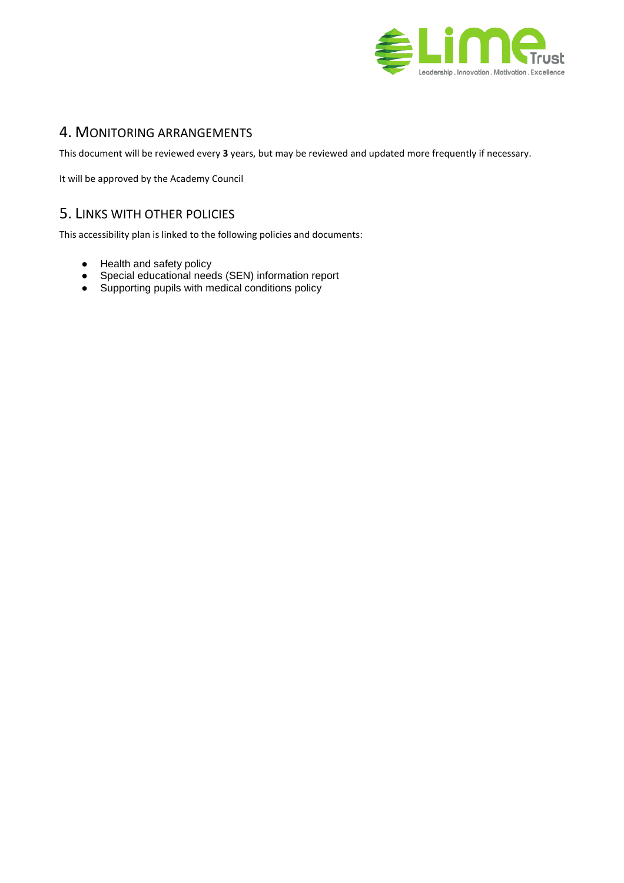

### <span id="page-7-0"></span>4. MONITORING ARRANGEMENTS

This document will be reviewed every **3** years, but may be reviewed and updated more frequently if necessary.

It will be approved by the Academy Council

### <span id="page-7-1"></span>5. LINKS WITH OTHER POLICIES

This accessibility plan is linked to the following policies and documents:

- Health and safety policy
- Special educational needs (SEN) information report
- Supporting pupils with medical conditions policy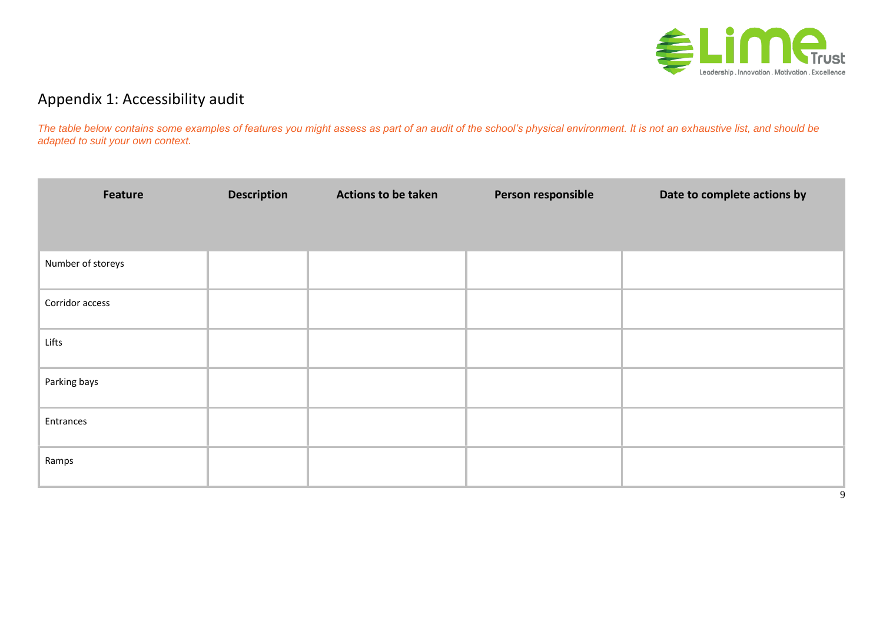

## Appendix 1: Accessibility audit

*The table below contains some examples of features you might assess as part of an audit of the school's physical environment. It is not an exhaustive list, and should be adapted to suit your own context.*

<span id="page-8-0"></span>

| Feature           | <b>Description</b> | <b>Actions to be taken</b> | Person responsible | Date to complete actions by |
|-------------------|--------------------|----------------------------|--------------------|-----------------------------|
|                   |                    |                            |                    |                             |
| Number of storeys |                    |                            |                    |                             |
| Corridor access   |                    |                            |                    |                             |
| Lifts             |                    |                            |                    |                             |
| Parking bays      |                    |                            |                    |                             |
| Entrances         |                    |                            |                    |                             |
| Ramps             |                    |                            |                    |                             |